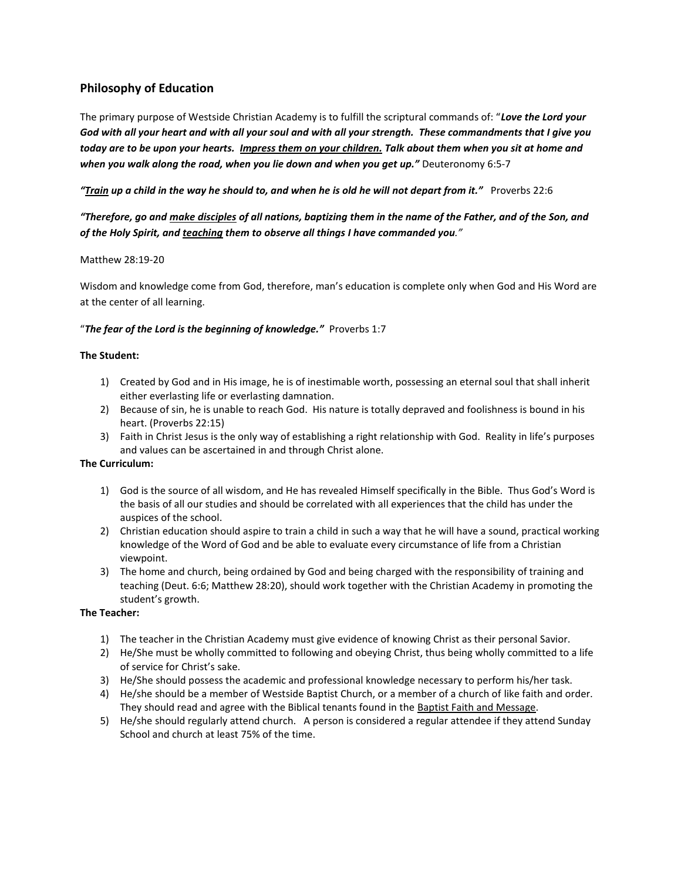# **Philosophy of Education**

The primary purpose of Westside Christian Academy is to fulfill the scriptural commands of: "*Love the Lord your God with all your heart and with all your soul and with all your strength. These commandments that I give you today are to be upon your hearts. Impress them on your children. Talk about them when you sit at home and*  when you walk along the road, when you lie down and when you get up." Deuteronomy 6:5-7

*"Train up a child in the way he should to, and when he is old he will not depart from it."* Proverbs 22:6

*"Therefore, go and make disciples of all nations, baptizing them in the name of the Father, and of the Son, and of the Holy Spirit, and teaching them to observe all things I have commanded you."* 

## Matthew 28:19-20

Wisdom and knowledge come from God, therefore, man's education is complete only when God and His Word are at the center of all learning.

### "*The fear of the Lord is the beginning of knowledge."* Proverbs 1:7

## **The Student:**

- 1) Created by God and in His image, he is of inestimable worth, possessing an eternal soul that shall inherit either everlasting life or everlasting damnation.
- 2) Because of sin, he is unable to reach God. His nature is totally depraved and foolishness is bound in his heart. (Proverbs 22:15)
- 3) Faith in Christ Jesus is the only way of establishing a right relationship with God. Reality in life's purposes and values can be ascertained in and through Christ alone.

### **The Curriculum:**

- 1) God is the source of all wisdom, and He has revealed Himself specifically in the Bible. Thus God's Word is the basis of all our studies and should be correlated with all experiences that the child has under the auspices of the school.
- 2) Christian education should aspire to train a child in such a way that he will have a sound, practical working knowledge of the Word of God and be able to evaluate every circumstance of life from a Christian viewpoint.
- 3) The home and church, being ordained by God and being charged with the responsibility of training and teaching (Deut. 6:6; Matthew 28:20), should work together with the Christian Academy in promoting the student's growth.

### **The Teacher:**

- 1) The teacher in the Christian Academy must give evidence of knowing Christ as their personal Savior.
- 2) He/She must be wholly committed to following and obeying Christ, thus being wholly committed to a life of service for Christ's sake.
- 3) He/She should possess the academic and professional knowledge necessary to perform his/her task.
- 4) He/she should be a member of Westside Baptist Church, or a member of a church of like faith and order. They should read and agree with the Biblical tenants found in the Baptist Faith and Message.
- 5) He/she should regularly attend church. A person is considered a regular attendee if they attend Sunday School and church at least 75% of the time.